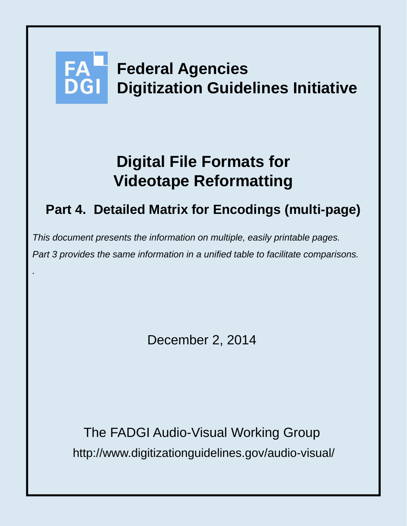# **Federal Agencies Digitization Guidelines Initiative**

# **Digital File Formats for Videotape Reformatting**

# **Part 4. Detailed Matrix for Encodings (multi-page)**

*This document presents the information on multiple, easily printable pages. Part 3 provides the same information in a unified table to facilitate comparisons.* 

*.*

December 2, 2014

http://www.digitizationguidelines.gov/audio-visual/ The FADGI Audio-Visual Working Group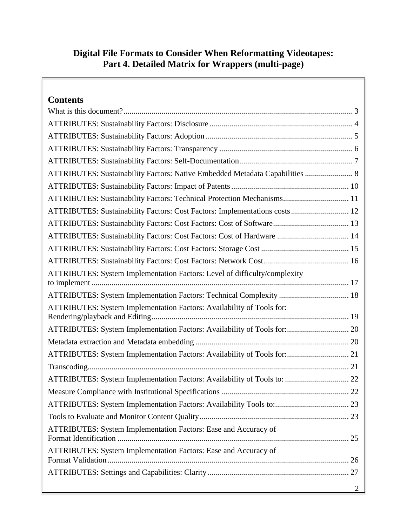# **Digital File Formats to Consider When Reformatting Videotapes: Part 4. Detailed Matrix for Wrappers (multi-page)**

| <b>Contents</b>                                                              |
|------------------------------------------------------------------------------|
|                                                                              |
|                                                                              |
|                                                                              |
|                                                                              |
|                                                                              |
| ATTRIBUTES: Sustainability Factors: Native Embedded Metadata Capabilities  8 |
|                                                                              |
| ATTRIBUTES: Sustainability Factors: Technical Protection Mechanisms 11       |
| ATTRIBUTES: Sustainability Factors: Cost Factors: Implementations costs 12   |
| ATTRIBUTES: Sustainability Factors: Cost Factors: Cost of Software 13        |
| ATTRIBUTES: Sustainability Factors: Cost Factors: Cost of Hardware  14       |
|                                                                              |
|                                                                              |
| ATTRIBUTES: System Implementation Factors: Level of difficulty/complexity    |
|                                                                              |
| ATTRIBUTES: System Implementation Factors: Technical Complexity  18          |
| ATTRIBUTES: System Implementation Factors: Availability of Tools for:        |
| ATTRIBUTES: System Implementation Factors: Availability of Tools for: 20     |
|                                                                              |
| ATTRIBUTES: System Implementation Factors: Availability of Tools for: 21     |
|                                                                              |
| ATTRIBUTES: System Implementation Factors: Availability of Tools to:  22     |
|                                                                              |
| ATTRIBUTES: System Implementation Factors: Availability Tools to: 23         |
|                                                                              |
| ATTRIBUTES: System Implementation Factors: Ease and Accuracy of              |
|                                                                              |
| ATTRIBUTES: System Implementation Factors: Ease and Accuracy of              |
|                                                                              |
|                                                                              |
|                                                                              |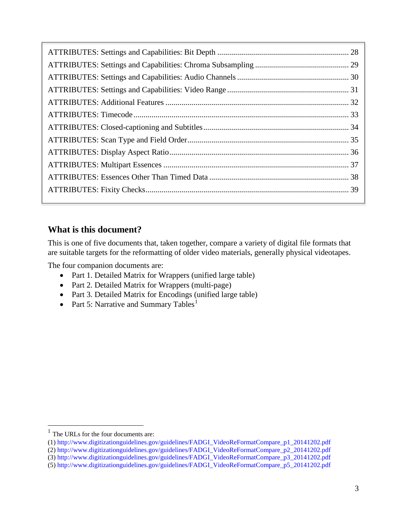# <span id="page-2-0"></span>**What is this document?**

This is one of five documents that, taken together, compare a variety of digital file formats that are suitable targets for the reformatting of older video materials, generally physical videotapes.

The four companion documents are:

- Part 1. Detailed Matrix for Wrappers (unified large table)
- Part 2. Detailed Matrix for Wrappers (multi-page)
- Part 3. Detailed Matrix for Encodings (unified large table)
- Part 5: Narrative and Summary Tables<sup>[1](#page-2-1)</sup>

 $\overline{a}$ 

<span id="page-2-1"></span> $<sup>1</sup>$  The URLs for the four documents are:</sup>

<sup>(1)</sup> http://www.digitizationguidelines.gov/guidelines/FADGI\_VideoReFormatCompare\_p1\_20141202.pdf

<sup>(2)</sup> http://www.digitizationguidelines.gov/guidelines/FADGI\_VideoReFormatCompare\_p2\_20141202.pdf

<sup>(3)</sup> http://www.digitizationguidelines.gov/guidelines/FADGI\_VideoReFormatCompare\_p3\_20141202.pdf

<sup>(5)</sup> http://www.digitizationguidelines.gov/guidelines/FADGI\_VideoReFormatCompare\_p5\_20141202.pdf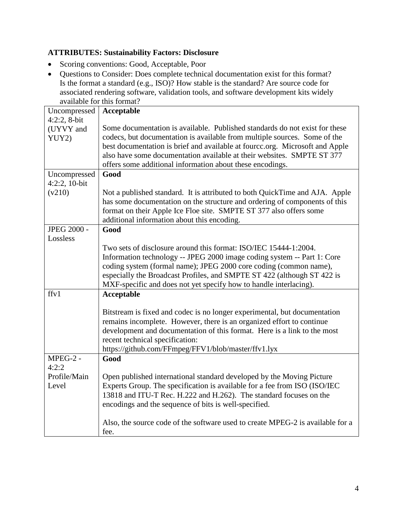#### <span id="page-3-0"></span>**ATTRIBUTES: Sustainability Factors: Disclosure**

- Scoring conventions: Good, Acceptable, Poor
- Questions to Consider: Does complete technical documentation exist for this format? Is the format a standard (e.g., ISO)? How stable is the standard? Are source code for associated rendering software, validation tools, and software development kits widely available for this format?

| Uncompressed       | Acceptable                                                                     |
|--------------------|--------------------------------------------------------------------------------|
| $4:2:2, 8-bit$     |                                                                                |
| (UYVY and          | Some documentation is available. Published standards do not exist for these    |
| YUY2)              | codecs, but documentation is available from multiple sources. Some of the      |
|                    | best documentation is brief and available at fource.org. Microsoft and Apple   |
|                    | also have some documentation available at their websites. SMPTE ST 377         |
|                    | offers some additional information about these encodings.                      |
| Uncompressed       | Good                                                                           |
| 4:2:2, 10-bit      |                                                                                |
| (v210)             | Not a published standard. It is attributed to both QuickTime and AJA. Apple    |
|                    | has some documentation on the structure and ordering of components of this     |
|                    | format on their Apple Ice Floe site. SMPTE ST 377 also offers some             |
|                    | additional information about this encoding.                                    |
| <b>JPEG 2000 -</b> | Good                                                                           |
| Lossless           |                                                                                |
|                    | Two sets of disclosure around this format: ISO/IEC 15444-1:2004.               |
|                    | Information technology -- JPEG 2000 image coding system -- Part 1: Core        |
|                    | coding system (formal name); JPEG 2000 core coding (common name),              |
|                    | especially the Broadcast Profiles, and SMPTE ST 422 (although ST 422 is        |
| ffv1               | MXF-specific and does not yet specify how to handle interlacing).              |
|                    | <b>Acceptable</b>                                                              |
|                    | Bitstream is fixed and codec is no longer experimental, but documentation      |
|                    | remains incomplete. However, there is an organized effort to continue          |
|                    | development and documentation of this format. Here is a link to the most       |
|                    | recent technical specification:                                                |
|                    | https://github.com/FFmpeg/FFV1/blob/master/ffv1.lyx                            |
| MPEG-2 -           | Good                                                                           |
| 4:2:2              |                                                                                |
| Profile/Main       | Open published international standard developed by the Moving Picture          |
| Level              | Experts Group. The specification is available for a fee from ISO (ISO/IEC      |
|                    | 13818 and ITU-T Rec. H.222 and H.262). The standard focuses on the             |
|                    | encodings and the sequence of bits is well-specified.                          |
|                    |                                                                                |
|                    | Also, the source code of the software used to create MPEG-2 is available for a |
|                    | fee.                                                                           |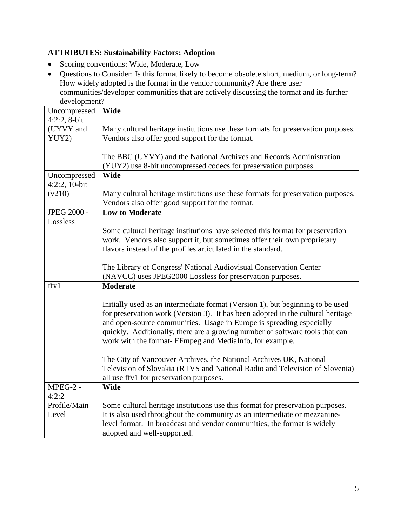#### <span id="page-4-0"></span>**ATTRIBUTES: Sustainability Factors: Adoption**

- Scoring conventions: Wide, Moderate, Low
- Questions to Consider: Is this format likely to become obsolete short, medium, or long-term? How widely adopted is the format in the vendor community? Are there user communities/developer communities that are actively discussing the format and its further development?

| development!       |                                                                                  |  |  |
|--------------------|----------------------------------------------------------------------------------|--|--|
| Uncompressed       | <b>Wide</b>                                                                      |  |  |
| $4:2:2, 8-bit$     |                                                                                  |  |  |
| (UYVY and          | Many cultural heritage institutions use these formats for preservation purposes. |  |  |
| YUY2)              | Vendors also offer good support for the format.                                  |  |  |
|                    |                                                                                  |  |  |
|                    | The BBC (UYVY) and the National Archives and Records Administration              |  |  |
|                    | (YUY2) use 8-bit uncompressed codecs for preservation purposes.                  |  |  |
| Uncompressed       | <b>Wide</b>                                                                      |  |  |
| 4:2:2, 10-bit      |                                                                                  |  |  |
| (v210)             | Many cultural heritage institutions use these formats for preservation purposes. |  |  |
|                    | Vendors also offer good support for the format.                                  |  |  |
| <b>JPEG 2000 -</b> | <b>Low to Moderate</b>                                                           |  |  |
| Lossless           |                                                                                  |  |  |
|                    | Some cultural heritage institutions have selected this format for preservation   |  |  |
|                    | work. Vendors also support it, but sometimes offer their own proprietary         |  |  |
|                    | flavors instead of the profiles articulated in the standard.                     |  |  |
|                    |                                                                                  |  |  |
|                    | The Library of Congress' National Audiovisual Conservation Center                |  |  |
|                    | (NAVCC) uses JPEG2000 Lossless for preservation purposes.                        |  |  |
| ffy1               | <b>Moderate</b>                                                                  |  |  |
|                    |                                                                                  |  |  |
|                    | Initially used as an intermediate format (Version 1), but beginning to be used   |  |  |
|                    | for preservation work (Version 3). It has been adopted in the cultural heritage  |  |  |
|                    | and open-source communities. Usage in Europe is spreading especially             |  |  |
|                    | quickly. Additionally, there are a growing number of software tools that can     |  |  |
|                    | work with the format- FFmpeg and MediaInfo, for example.                         |  |  |
|                    |                                                                                  |  |  |
|                    | The City of Vancouver Archives, the National Archives UK, National               |  |  |
|                    | Television of Slovakia (RTVS and National Radio and Television of Slovenia)      |  |  |
|                    | all use ffv1 for preservation purposes.                                          |  |  |
| MPEG-2 -           | <b>Wide</b>                                                                      |  |  |
| 4:2:2              |                                                                                  |  |  |
| Profile/Main       | Some cultural heritage institutions use this format for preservation purposes.   |  |  |
| Level              |                                                                                  |  |  |
|                    | It is also used throughout the community as an intermediate or mezzanine-        |  |  |
|                    | level format. In broadcast and vendor communities, the format is widely          |  |  |
|                    | adopted and well-supported.                                                      |  |  |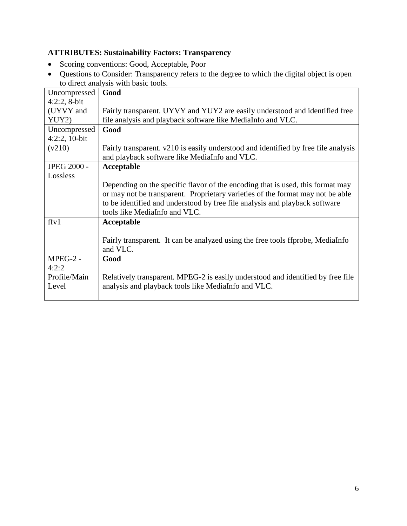# <span id="page-5-0"></span>**ATTRIBUTES: Sustainability Factors: Transparency**

- Scoring conventions: Good, Acceptable, Poor
- Questions to Consider: Transparency refers to the degree to which the digital object is open to direct analysis with basic tools.

| Good                                                                                                                                |
|-------------------------------------------------------------------------------------------------------------------------------------|
|                                                                                                                                     |
| Fairly transparent. UYVY and YUY2 are easily understood and identified free                                                         |
| file analysis and playback software like MediaInfo and VLC.                                                                         |
| Good                                                                                                                                |
|                                                                                                                                     |
| Fairly transparent. v210 is easily understood and identified by free file analysis<br>and playback software like MediaInfo and VLC. |
| Acceptable                                                                                                                          |
|                                                                                                                                     |
| Depending on the specific flavor of the encoding that is used, this format may                                                      |
| or may not be transparent. Proprietary varieties of the format may not be able                                                      |
| to be identified and understood by free file analysis and playback software                                                         |
| tools like MediaInfo and VLC.                                                                                                       |
| Acceptable                                                                                                                          |
|                                                                                                                                     |
| Fairly transparent. It can be analyzed using the free tools ff probe, MediaInfo                                                     |
| and VLC.                                                                                                                            |
| Good                                                                                                                                |
|                                                                                                                                     |
| Relatively transparent. MPEG-2 is easily understood and identified by free file                                                     |
| analysis and playback tools like MediaInfo and VLC.                                                                                 |
|                                                                                                                                     |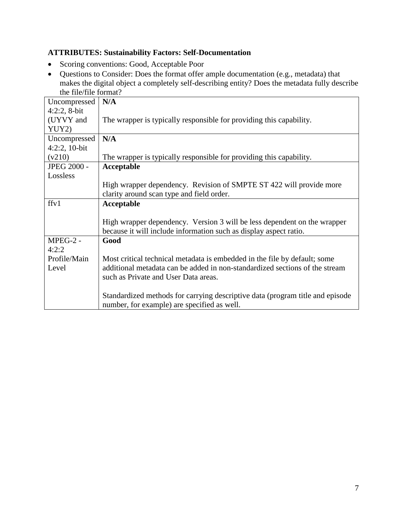#### <span id="page-6-0"></span>**ATTRIBUTES: Sustainability Factors: Self-Documentation**

- Scoring conventions: Good, Acceptable Poor
- Questions to Consider: Does the format offer ample documentation (e.g., metadata) that makes the digital object a completely self-describing entity? Does the metadata fully describe the file/file format?

| Uncompressed       | N/A                                                                           |
|--------------------|-------------------------------------------------------------------------------|
| $4:2:2, 8-bit$     |                                                                               |
| (UYVY and          | The wrapper is typically responsible for providing this capability.           |
| YUY2)              |                                                                               |
| Uncompressed       | N/A                                                                           |
| $4:2:2,10-bit$     |                                                                               |
| (v210)             | The wrapper is typically responsible for providing this capability.           |
| <b>JPEG 2000 -</b> | Acceptable                                                                    |
| Lossless           |                                                                               |
|                    | High wrapper dependency. Revision of SMPTE ST 422 will provide more           |
|                    | clarity around scan type and field order.                                     |
| ffv1               | Acceptable                                                                    |
|                    |                                                                               |
|                    | High wrapper dependency. Version 3 will be less dependent on the wrapper      |
|                    | because it will include information such as display aspect ratio.             |
| MPEG-2 -           | Good                                                                          |
| 4:2:2              |                                                                               |
| Profile/Main       | Most critical technical metadata is embedded in the file by default; some     |
| Level              | additional metadata can be added in non-standardized sections of the stream   |
|                    | such as Private and User Data areas.                                          |
|                    |                                                                               |
|                    | Standardized methods for carrying descriptive data (program title and episode |
|                    | number, for example) are specified as well.                                   |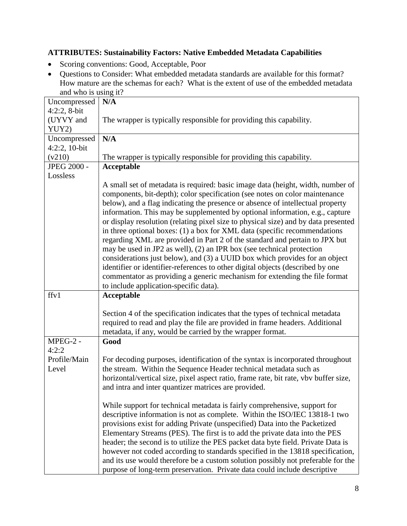#### <span id="page-7-0"></span>**ATTRIBUTES: Sustainability Factors: Native Embedded Metadata Capabilities**

- Scoring conventions: Good, Acceptable, Poor
- Questions to Consider: What embedded metadata standards are available for this format? How mature are the schemas for each? What is the extent of use of the embedded metadata and who is using it?

| $\frac{1}{2}$               |                                                                                                                      |
|-----------------------------|----------------------------------------------------------------------------------------------------------------------|
| Uncompressed                | N/A                                                                                                                  |
| $4:2:2, 8-bit$<br>(UYVY and | The wrapper is typically responsible for providing this capability.                                                  |
| YUY2)                       |                                                                                                                      |
| Uncompressed                | N/A                                                                                                                  |
| $4:2:2,10-bit$              |                                                                                                                      |
| (v210)                      | The wrapper is typically responsible for providing this capability.                                                  |
| <b>JPEG 2000 -</b>          | Acceptable                                                                                                           |
| Lossless                    |                                                                                                                      |
|                             | A small set of metadata is required: basic image data (height, width, number of                                      |
|                             | components, bit-depth); color specification (see notes on color maintenance                                          |
|                             | below), and a flag indicating the presence or absence of intellectual property                                       |
|                             | information. This may be supplemented by optional information, e.g., capture                                         |
|                             | or display resolution (relating pixel size to physical size) and by data presented                                   |
|                             | in three optional boxes: (1) a box for XML data (specific recommendations                                            |
|                             | regarding XML are provided in Part 2 of the standard and pertain to JPX but                                          |
|                             | may be used in JP2 as well), (2) an IPR box (see technical protection                                                |
|                             | considerations just below), and (3) a UUID box which provides for an object                                          |
|                             | identifier or identifier-references to other digital objects (described by one                                       |
|                             | commentator as providing a generic mechanism for extending the file format<br>to include application-specific data). |
| ffy1                        | Acceptable                                                                                                           |
|                             |                                                                                                                      |
|                             | Section 4 of the specification indicates that the types of technical metadata                                        |
|                             | required to read and play the file are provided in frame headers. Additional                                         |
|                             | metadata, if any, would be carried by the wrapper format.                                                            |
| MPEG-2 -                    | Good                                                                                                                 |
| 4:2:2                       |                                                                                                                      |
| Profile/Main                | For decoding purposes, identification of the syntax is incorporated throughout                                       |
| Level                       | the stream. Within the Sequence Header technical metadata such as                                                    |
|                             | horizontal/vertical size, pixel aspect ratio, frame rate, bit rate, vbv buffer size,                                 |
|                             | and intra and inter quantizer matrices are provided.                                                                 |
|                             | While support for technical metadata is fairly comprehensive, support for                                            |
|                             | descriptive information is not as complete. Within the ISO/IEC 13818-1 two                                           |
|                             | provisions exist for adding Private (unspecified) Data into the Packetized                                           |
|                             | Elementary Streams (PES). The first is to add the private data into the PES                                          |
|                             | header; the second is to utilize the PES packet data byte field. Private Data is                                     |
|                             | however not coded according to standards specified in the 13818 specification,                                       |
|                             | and its use would therefore be a custom solution possibly not preferable for the                                     |
|                             | purpose of long-term preservation. Private data could include descriptive                                            |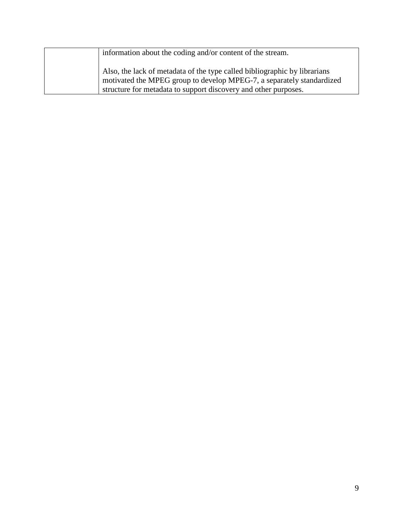| information about the coding and/or content of the stream.                                                                                         |
|----------------------------------------------------------------------------------------------------------------------------------------------------|
| Also, the lack of metadata of the type called bibliographic by librarians<br>motivated the MPEG group to develop MPEG-7, a separately standardized |
| structure for metadata to support discovery and other purposes.                                                                                    |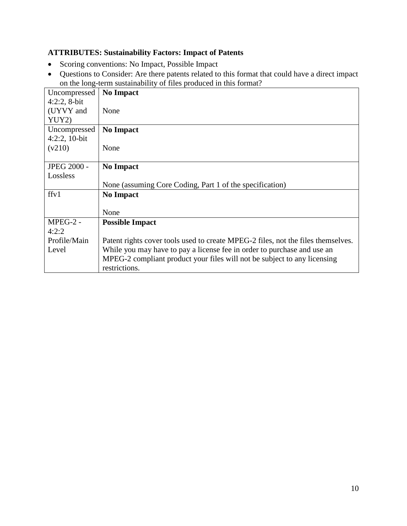#### <span id="page-9-0"></span>**ATTRIBUTES: Sustainability Factors: Impact of Patents**

- Scoring conventions: No Impact, Possible Impact
- Questions to Consider: Are there patents related to this format that could have a direct impact on the long-term sustainability of files produced in this format?

| Uncompressed       | <b>No Impact</b>                                                                 |
|--------------------|----------------------------------------------------------------------------------|
| $4:2:2$ , 8-bit    |                                                                                  |
| (UYVY and          | None                                                                             |
| YUY2)              |                                                                                  |
| Uncompressed       | <b>No Impact</b>                                                                 |
| $4:2:2,10-bit$     |                                                                                  |
| (v210)             | None                                                                             |
|                    |                                                                                  |
| <b>JPEG 2000 -</b> | <b>No Impact</b>                                                                 |
| Lossless           |                                                                                  |
|                    | None (assuming Core Coding, Part 1 of the specification)                         |
| ffv1               | <b>No Impact</b>                                                                 |
|                    |                                                                                  |
|                    | None                                                                             |
| $MPEG-2$ -         | <b>Possible Impact</b>                                                           |
| 4:2:2              |                                                                                  |
| Profile/Main       | Patent rights cover tools used to create MPEG-2 files, not the files themselves. |
| Level              | While you may have to pay a license fee in order to purchase and use an          |
|                    | MPEG-2 compliant product your files will not be subject to any licensing         |
|                    | restrictions.                                                                    |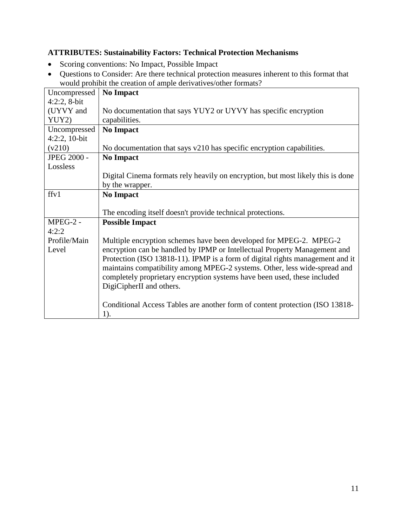#### <span id="page-10-0"></span>**ATTRIBUTES: Sustainability Factors: Technical Protection Mechanisms**

- Scoring conventions: No Impact, Possible Impact
- Questions to Consider: Are there technical protection measures inherent to this format that would prohibit the creation of ample derivatives/other formats?

| Uncompressed   | oute promon the erealion of ample derivant colour formato.<br><b>No Impact</b>  |
|----------------|---------------------------------------------------------------------------------|
| $4:2:2, 8-bit$ |                                                                                 |
| (UYVY and      | No documentation that says YUY2 or UYVY has specific encryption                 |
| YUY2)          | capabilities.                                                                   |
| Uncompressed   | <b>No Impact</b>                                                                |
| $4:2:2,10-bit$ |                                                                                 |
| (v210)         | No documentation that says v210 has specific encryption capabilities.           |
| JPEG 2000 -    | <b>No Impact</b>                                                                |
| Lossless       |                                                                                 |
|                | Digital Cinema formats rely heavily on encryption, but most likely this is done |
|                | by the wrapper.                                                                 |
| ffv1           | <b>No Impact</b>                                                                |
|                |                                                                                 |
|                | The encoding itself doesn't provide technical protections.                      |
| $MPEG-2 -$     | <b>Possible Impact</b>                                                          |
| 4:2:2          |                                                                                 |
| Profile/Main   | Multiple encryption schemes have been developed for MPEG-2. MPEG-2              |
| Level          | encryption can be handled by IPMP or Intellectual Property Management and       |
|                | Protection (ISO 13818-11). IPMP is a form of digital rights management and it   |
|                | maintains compatibility among MPEG-2 systems. Other, less wide-spread and       |
|                | completely proprietary encryption systems have been used, these included        |
|                | DigiCipherII and others.                                                        |
|                |                                                                                 |
|                | Conditional Access Tables are another form of content protection (ISO 13818-    |
|                | 1).                                                                             |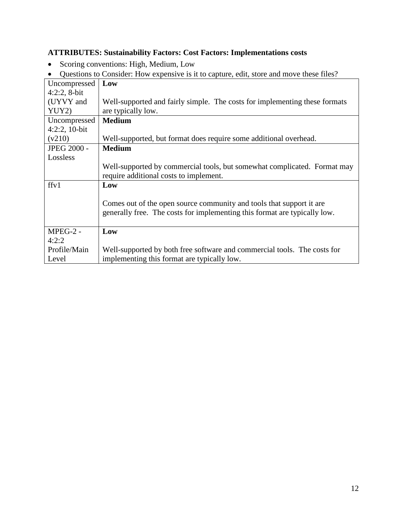# <span id="page-11-0"></span>**ATTRIBUTES: Sustainability Factors: Cost Factors: Implementations costs**

• Scoring conventions: High, Medium, Low

|  |  |  | • Questions to Consider: How expensive is it to capture, edit, store and move these files? |  |
|--|--|--|--------------------------------------------------------------------------------------------|--|
|  |  |  |                                                                                            |  |

| Uncompressed       | Low                                                                        |
|--------------------|----------------------------------------------------------------------------|
| $4:2:2$ , 8-bit    |                                                                            |
| (UYVY and          | Well-supported and fairly simple. The costs for implementing these formats |
| YUY2)              | are typically low.                                                         |
| Uncompressed       | <b>Medium</b>                                                              |
| $4:2:2,10-bit$     |                                                                            |
| (v210)             | Well-supported, but format does require some additional overhead.          |
| <b>JPEG 2000 -</b> | <b>Medium</b>                                                              |
| Lossless           |                                                                            |
|                    | Well-supported by commercial tools, but somewhat complicated. Format may   |
|                    | require additional costs to implement.                                     |
| ffv1               | Low                                                                        |
|                    |                                                                            |
|                    | Comes out of the open source community and tools that support it are       |
|                    | generally free. The costs for implementing this format are typically low.  |
|                    |                                                                            |
| MPEG-2 -           | Low                                                                        |
| 4:2:2              |                                                                            |
| Profile/Main       | Well-supported by both free software and commercial tools. The costs for   |
| Level              | implementing this format are typically low.                                |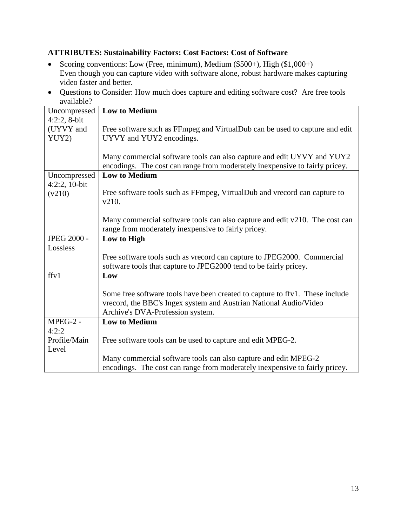#### <span id="page-12-0"></span>**ATTRIBUTES: Sustainability Factors: Cost Factors: Cost of Software**

- Scoring conventions: Low (Free, minimum), Medium (\$500+), High (\$1,000+) Even though you can capture video with software alone, robust hardware makes capturing video faster and better.
- Questions to Consider: How much does capture and editing software cost? Are free tools available?

| Uncompressed       | <b>Low to Medium</b>                                                         |
|--------------------|------------------------------------------------------------------------------|
| $4:2:2, 8-bit$     |                                                                              |
| (UYVY and          | Free software such as FFmpeg and VirtualDub can be used to capture and edit  |
| YUY2)              | UYVY and YUY2 encodings.                                                     |
|                    |                                                                              |
|                    | Many commercial software tools can also capture and edit UYVY and YUY2       |
|                    | encodings. The cost can range from moderately inexpensive to fairly pricey.  |
| Uncompressed       | <b>Low to Medium</b>                                                         |
| $4:2:2,10-bit$     |                                                                              |
| (v210)             | Free software tools such as FFmpeg, VirtualDub and vrecord can capture to    |
|                    | v210.                                                                        |
|                    |                                                                              |
|                    | Many commercial software tools can also capture and edit v210. The cost can  |
|                    | range from moderately inexpensive to fairly pricey.                          |
| <b>JPEG 2000 -</b> |                                                                              |
|                    | Low to High                                                                  |
| Lossless           |                                                                              |
|                    | Free software tools such as vrecord can capture to JPEG2000. Commercial      |
|                    | software tools that capture to JPEG2000 tend to be fairly pricey.            |
| ffv1               | Low                                                                          |
|                    |                                                                              |
|                    | Some free software tools have been created to capture to ffv1. These include |
|                    | vrecord, the BBC's Ingex system and Austrian National Audio/Video            |
|                    | Archive's DVA-Profession system.                                             |
| $MPEG-2 -$         | <b>Low to Medium</b>                                                         |
| 4:2:2              |                                                                              |
| Profile/Main       | Free software tools can be used to capture and edit MPEG-2.                  |
| Level              |                                                                              |
|                    | Many commercial software tools can also capture and edit MPEG-2              |
|                    | encodings. The cost can range from moderately inexpensive to fairly pricey.  |
|                    |                                                                              |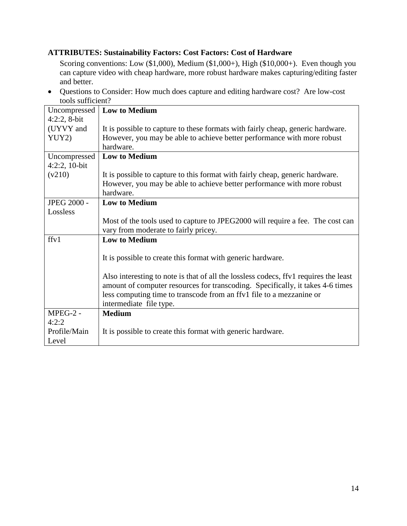#### <span id="page-13-0"></span>**ATTRIBUTES: Sustainability Factors: Cost Factors: Cost of Hardware**

Scoring conventions: Low (\$1,000), Medium (\$1,000+), High (\$10,000+). Even though you can capture video with cheap hardware, more robust hardware makes capturing/editing faster and better.

• Questions to Consider: How much does capture and editing hardware cost? Are low-cost tools sufficient?

| Uncompressed       | <b>Low to Medium</b>                                                                 |
|--------------------|--------------------------------------------------------------------------------------|
| $4:2:2, 8-bit$     |                                                                                      |
| (UYVY and          | It is possible to capture to these formats with fairly cheap, generic hardware.      |
| YUY2)              | However, you may be able to achieve better performance with more robust              |
|                    | hardware.                                                                            |
| Uncompressed       | <b>Low to Medium</b>                                                                 |
| $4:2:2,10-bit$     |                                                                                      |
| (v210)             | It is possible to capture to this format with fairly cheap, generic hardware.        |
|                    | However, you may be able to achieve better performance with more robust              |
|                    | hardware.                                                                            |
| <b>JPEG 2000 -</b> | <b>Low to Medium</b>                                                                 |
| Lossless           |                                                                                      |
|                    | Most of the tools used to capture to JPEG2000 will require a fee. The cost can       |
|                    | vary from moderate to fairly pricey.                                                 |
| ffv1               | <b>Low to Medium</b>                                                                 |
|                    |                                                                                      |
|                    | It is possible to create this format with generic hardware.                          |
|                    |                                                                                      |
|                    | Also interesting to note is that of all the lossless codecs, ffyl requires the least |
|                    | amount of computer resources for transcoding. Specifically, it takes 4-6 times       |
|                    | less computing time to transcode from an ffv1 file to a mezzanine or                 |
|                    | intermediate file type.                                                              |
| MPEG-2 -           | <b>Medium</b>                                                                        |
| 4:2:2              |                                                                                      |
| Profile/Main       | It is possible to create this format with generic hardware.                          |
| Level              |                                                                                      |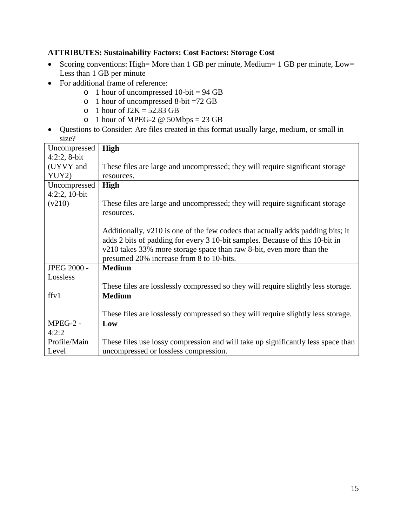#### <span id="page-14-0"></span>**ATTRIBUTES: Sustainability Factors: Cost Factors: Storage Cost**

- Scoring conventions: High= More than 1 GB per minute, Medium= 1 GB per minute, Low= Less than 1 GB per minute
- For additional frame of reference:
	- $\circ$  1 hour of uncompressed 10-bit = 94 GB
	- o 1 hour of uncompressed 8-bit =72 GB
	- o 1 hour of  $J2K = 52.83$  GB
	- o 1 hour of MPEG-2  $\omega$  50Mbps = 23 GB
- Questions to Consider: Are files created in this format usually large, medium, or small in size?

| Uncompressed       | <b>High</b>                                                                       |
|--------------------|-----------------------------------------------------------------------------------|
| $4:2:2, 8-bit$     |                                                                                   |
| (UYVY and          | These files are large and uncompressed; they will require significant storage     |
| YUY2)              | resources.                                                                        |
| Uncompressed       | High                                                                              |
| $4:2:2,10-bit$     |                                                                                   |
| (v210)             | These files are large and uncompressed; they will require significant storage     |
|                    | resources.                                                                        |
|                    |                                                                                   |
|                    | Additionally, v210 is one of the few codecs that actually adds padding bits; it   |
|                    | adds 2 bits of padding for every 3 10-bit samples. Because of this 10-bit in      |
|                    | v210 takes 33% more storage space than raw 8-bit, even more than the              |
|                    | presumed 20% increase from 8 to 10-bits.                                          |
| <b>JPEG 2000 -</b> | <b>Medium</b>                                                                     |
| Lossless           |                                                                                   |
|                    | These files are losslessly compressed so they will require slightly less storage. |
| ffv1               | <b>Medium</b>                                                                     |
|                    |                                                                                   |
|                    | These files are losslessly compressed so they will require slightly less storage. |
| MPEG-2 -           | Low                                                                               |
| 4:2:2              |                                                                                   |
| Profile/Main       | These files use lossy compression and will take up significantly less space than  |
| Level              | uncompressed or lossless compression.                                             |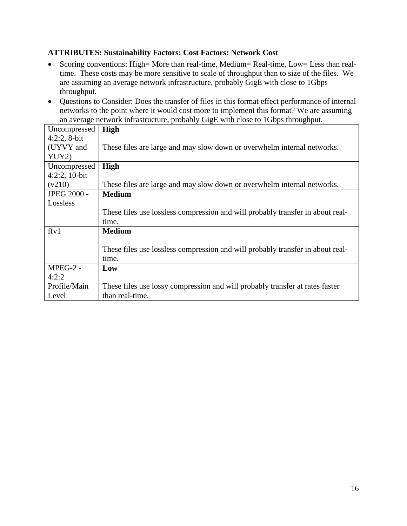#### <span id="page-15-0"></span>**ATTRIBUTES: Sustainability Factors: Cost Factors: Network Cost**

- Scoring conventions: High= More than real-time, Medium= Real-time, Low= Less than realtime. These costs may be more sensitive to scale of throughput than to size of the files. We are assuming an average network infrastructure, probably GigE with close to 1Gbps throughput.
- Questions to Consider: Does the transfer of files in this format effect performance of internal networks to the point where it would cost more to implement this format? We are assuming an average network infrastructure, probably GigE with close to 1Gbps throughput.

| Uncompressed       | <b>High</b>                                                                    |
|--------------------|--------------------------------------------------------------------------------|
| $4:2:2, 8-bit$     |                                                                                |
| (UYVY and          | These files are large and may slow down or overwhelm internal networks.        |
| YUY2)              |                                                                                |
| Uncompressed       | <b>High</b>                                                                    |
| $4:2:2,10-bit$     |                                                                                |
| (v210)             | These files are large and may slow down or overwhelm internal networks.        |
| <b>JPEG 2000 -</b> | <b>Medium</b>                                                                  |
| Lossless           |                                                                                |
|                    | These files use lossless compression and will probably transfer in about real- |
|                    | time.                                                                          |
| ffv1               | <b>Medium</b>                                                                  |
|                    |                                                                                |
|                    | These files use lossless compression and will probably transfer in about real- |
|                    | time.                                                                          |
| $MPEG-2$ -         | Low                                                                            |
| 4:2:2              |                                                                                |
| Profile/Main       | These files use lossy compression and will probably transfer at rates faster   |
| Level              | than real-time.                                                                |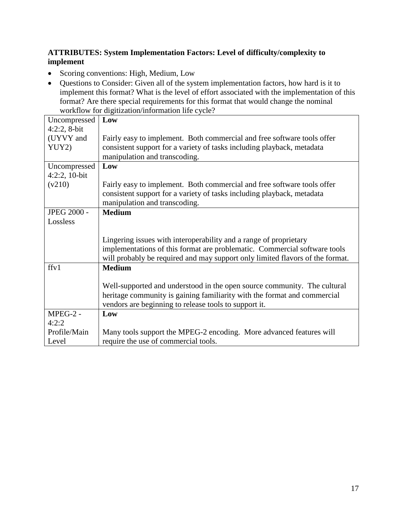#### <span id="page-16-0"></span>**ATTRIBUTES: System Implementation Factors: Level of difficulty/complexity to implement**

- Scoring conventions: High, Medium, Low
- Questions to Consider: Given all of the system implementation factors, how hard is it to implement this format? What is the level of effort associated with the implementation of this format? Are there special requirements for this format that would change the nominal workflow for digitization/information life cycle?

| Uncompressed       | Low                                                                           |
|--------------------|-------------------------------------------------------------------------------|
| $4:2:2, 8-bit$     |                                                                               |
| (UYVY and          | Fairly easy to implement. Both commercial and free software tools offer       |
| YUY2)              | consistent support for a variety of tasks including playback, metadata        |
|                    | manipulation and transcoding.                                                 |
| Uncompressed       | Low                                                                           |
| $4:2:2,10-bit$     |                                                                               |
| (v210)             | Fairly easy to implement. Both commercial and free software tools offer       |
|                    | consistent support for a variety of tasks including playback, metadata        |
|                    | manipulation and transcoding.                                                 |
| <b>JPEG 2000 -</b> | <b>Medium</b>                                                                 |
| Lossless           |                                                                               |
|                    |                                                                               |
|                    | Lingering issues with interoperability and a range of proprietary             |
|                    | implementations of this format are problematic. Commercial software tools     |
|                    | will probably be required and may support only limited flavors of the format. |
| ffv1               | <b>Medium</b>                                                                 |
|                    |                                                                               |
|                    | Well-supported and understood in the open source community. The cultural      |
|                    | heritage community is gaining familiarity with the format and commercial      |
|                    | vendors are beginning to release tools to support it.                         |
| MPEG-2 -           | Low                                                                           |
| 4:2:2              |                                                                               |
| Profile/Main       | Many tools support the MPEG-2 encoding. More advanced features will           |
| Level              | require the use of commercial tools.                                          |
|                    |                                                                               |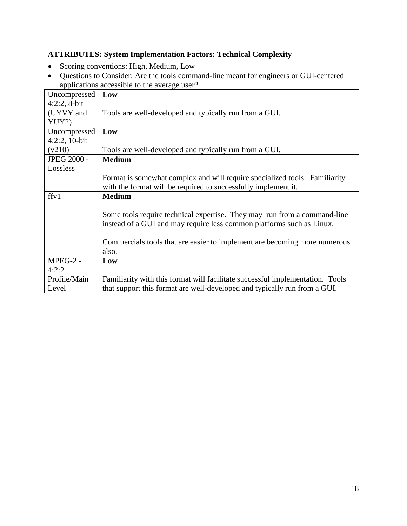#### <span id="page-17-0"></span>**ATTRIBUTES: System Implementation Factors: Technical Complexity**

- Scoring conventions: High, Medium, Low
- Questions to Consider: Are the tools command-line meant for engineers or GUI-centered applications accessible to the average user?

| Uncompressed       | Low                                                                           |
|--------------------|-------------------------------------------------------------------------------|
| $4:2:2$ , 8-bit    |                                                                               |
| (UYVY and          | Tools are well-developed and typically run from a GUI.                        |
| YUY2)              |                                                                               |
| Uncompressed       | Low                                                                           |
| 4:2:2, 10-bit      |                                                                               |
| (v210)             | Tools are well-developed and typically run from a GUI.                        |
| <b>JPEG 2000 -</b> | <b>Medium</b>                                                                 |
| Lossless           |                                                                               |
|                    | Format is somewhat complex and will require specialized tools. Familiarity    |
|                    | with the format will be required to successfully implement it.                |
| ffv1               | <b>Medium</b>                                                                 |
|                    |                                                                               |
|                    | Some tools require technical expertise. They may run from a command-line      |
|                    | instead of a GUI and may require less common platforms such as Linux.         |
|                    |                                                                               |
|                    | Commercials tools that are easier to implement are becoming more numerous     |
|                    | also.                                                                         |
| $MPEG-2 -$         | Low                                                                           |
| 4:2:2              |                                                                               |
| Profile/Main       | Familiarity with this format will facilitate successful implementation. Tools |
| Level              | that support this format are well-developed and typically run from a GUI.     |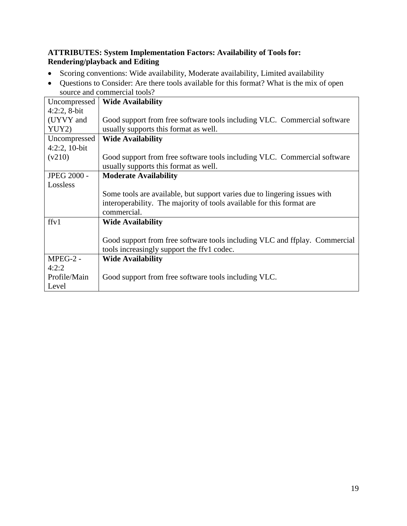#### <span id="page-18-0"></span>**ATTRIBUTES: System Implementation Factors: Availability of Tools for: Rendering/playback and Editing**

- Scoring conventions: Wide availability, Moderate availability, Limited availability
- Questions to Consider: Are there tools available for this format? What is the mix of open source and commercial tools?

| Uncompressed       | <b>Wide Availability</b>                                                   |
|--------------------|----------------------------------------------------------------------------|
| $4:2:2$ , 8-bit    |                                                                            |
| (UYVY and          | Good support from free software tools including VLC. Commercial software   |
| YUY2)              | usually supports this format as well.                                      |
| Uncompressed       | <b>Wide Availability</b>                                                   |
| $4:2:2,10-bit$     |                                                                            |
| (v210)             | Good support from free software tools including VLC. Commercial software   |
|                    | usually supports this format as well.                                      |
| <b>JPEG 2000 -</b> | <b>Moderate Availability</b>                                               |
| Lossless           |                                                                            |
|                    | Some tools are available, but support varies due to lingering issues with  |
|                    | interoperability. The majority of tools available for this format are      |
|                    | commercial.                                                                |
| ffv1               | <b>Wide Availability</b>                                                   |
|                    |                                                                            |
|                    | Good support from free software tools including VLC and ffplay. Commercial |
|                    | tools increasingly support the ffv1 codec.                                 |
| $MPEG-2 -$         | <b>Wide Availability</b>                                                   |
| 4:2:2              |                                                                            |
| Profile/Main       | Good support from free software tools including VLC.                       |
| Level              |                                                                            |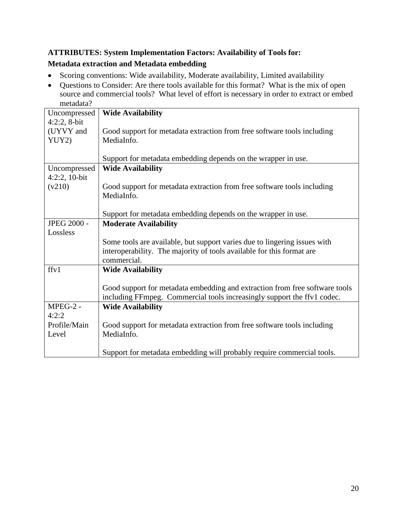#### <span id="page-19-0"></span>**ATTRIBUTES: System Implementation Factors: Availability of Tools for: Metadata extraction and Metadata embedding**

- <span id="page-19-1"></span>• Scoring conventions: Wide availability, Moderate availability, Limited availability
- Questions to Consider: Are there tools available for this format? What is the mix of open source and commercial tools? What level of effort is necessary in order to extract or embed metadata?

| molaudia:      |                                                                             |
|----------------|-----------------------------------------------------------------------------|
| Uncompressed   | <b>Wide Availability</b>                                                    |
| $4:2:2, 8-bit$ |                                                                             |
| (UYVY and      | Good support for metadata extraction from free software tools including     |
| YUY2)          | MediaInfo.                                                                  |
|                |                                                                             |
|                | Support for metadata embedding depends on the wrapper in use.               |
| Uncompressed   | <b>Wide Availability</b>                                                    |
| 4:2:2, 10-bit  |                                                                             |
| (v210)         | Good support for metadata extraction from free software tools including     |
|                | MediaInfo.                                                                  |
|                |                                                                             |
|                | Support for metadata embedding depends on the wrapper in use.               |
| JPEG 2000 -    | <b>Moderate Availability</b>                                                |
| Lossless       |                                                                             |
|                | Some tools are available, but support varies due to lingering issues with   |
|                | interoperability. The majority of tools available for this format are       |
|                | commercial.                                                                 |
| ffv1           | <b>Wide Availability</b>                                                    |
|                |                                                                             |
|                | Good support for metadata embedding and extraction from free software tools |
|                | including FFmpeg. Commercial tools increasingly support the ffv1 codec.     |
| MPEG-2 -       | <b>Wide Availability</b>                                                    |
| 4:2:2          |                                                                             |
| Profile/Main   | Good support for metadata extraction from free software tools including     |
| Level          | MediaInfo.                                                                  |
|                |                                                                             |
|                | Support for metadata embedding will probably require commercial tools.      |
|                |                                                                             |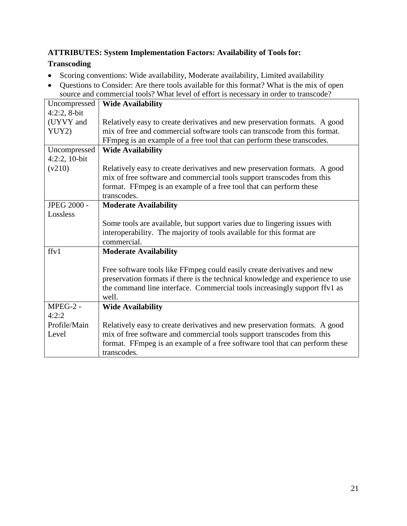#### <span id="page-20-1"></span><span id="page-20-0"></span>**ATTRIBUTES: System Implementation Factors: Availability of Tools for: Transcoding**

- Scoring conventions: Wide availability, Moderate availability, Limited availability
- Questions to Consider: Are there tools available for this format? What is the mix of open source and commercial tools? What level of effort is necessary in order to transcode?

| Uncompressed   | <b>Wide Availability</b>                                                       |
|----------------|--------------------------------------------------------------------------------|
| $4:2:2, 8-bit$ |                                                                                |
| (UYVY and      | Relatively easy to create derivatives and new preservation formats. A good     |
| YUY2)          | mix of free and commercial software tools can transcode from this format.      |
|                | FFmpeg is an example of a free tool that can perform these transcodes.         |
| Uncompressed   | <b>Wide Availability</b>                                                       |
| 4:2:2, 10-bit  |                                                                                |
| (v210)         | Relatively easy to create derivatives and new preservation formats. A good     |
|                | mix of free software and commercial tools support transcodes from this         |
|                | format. FFmpeg is an example of a free tool that can perform these             |
|                | transcodes.                                                                    |
| JPEG 2000 -    | <b>Moderate Availability</b>                                                   |
| Lossless       |                                                                                |
|                | Some tools are available, but support varies due to lingering issues with      |
|                | interoperability. The majority of tools available for this format are          |
|                | commercial.                                                                    |
| ffv1           | <b>Moderate Availability</b>                                                   |
|                |                                                                                |
|                | Free software tools like FFmpeg could easily create derivatives and new        |
|                | preservation formats if there is the technical knowledge and experience to use |
|                | the command line interface. Commercial tools increasingly support ffv1 as      |
|                | well.                                                                          |
| MPEG-2 -       | <b>Wide Availability</b>                                                       |
| 4:2:2          |                                                                                |
| Profile/Main   | Relatively easy to create derivatives and new preservation formats. A good     |
| Level          | mix of free software and commercial tools support transcodes from this         |
|                | format. FFmpeg is an example of a free software tool that can perform these    |
|                | transcodes.                                                                    |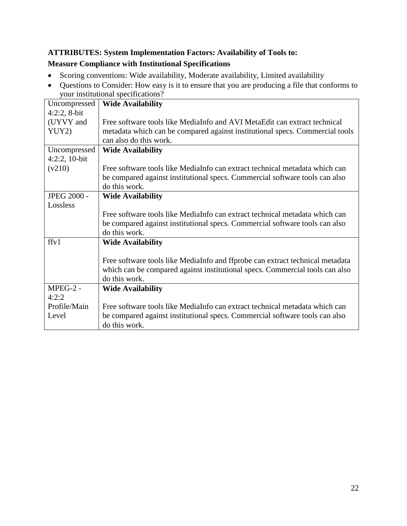#### <span id="page-21-1"></span><span id="page-21-0"></span>**ATTRIBUTES: System Implementation Factors: Availability of Tools to: Measure Compliance with Institutional Specifications**

- Scoring conventions: Wide availability, Moderate availability, Limited availability
- Questions to Consider: How easy is it to ensure that you are producing a file that conforms to your institutional specifications?

| Uncompressed       | <b>Wide Availability</b>                                                      |
|--------------------|-------------------------------------------------------------------------------|
| $4:2:2, 8-bit$     |                                                                               |
| (UYVY and          | Free software tools like MediaInfo and AVI MetaEdit can extract technical     |
| YUY2)              | metadata which can be compared against institutional specs. Commercial tools  |
|                    | can also do this work.                                                        |
| Uncompressed       | <b>Wide Availability</b>                                                      |
| $4:2:2,10-bit$     |                                                                               |
| (v210)             | Free software tools like MediaInfo can extract technical metadata which can   |
|                    | be compared against institutional specs. Commercial software tools can also   |
|                    | do this work.                                                                 |
| <b>JPEG 2000 -</b> | <b>Wide Availability</b>                                                      |
| Lossless           |                                                                               |
|                    | Free software tools like MediaInfo can extract technical metadata which can   |
|                    | be compared against institutional specs. Commercial software tools can also   |
|                    | do this work.                                                                 |
| ffv1               | <b>Wide Availability</b>                                                      |
|                    |                                                                               |
|                    | Free software tools like MediaInfo and ffprobe can extract technical metadata |
|                    | which can be compared against institutional specs. Commercial tools can also  |
|                    | do this work.                                                                 |
| $MPEG-2 -$         | <b>Wide Availability</b>                                                      |
| 4:2:2              |                                                                               |
| Profile/Main       | Free software tools like MediaInfo can extract technical metadata which can   |
| Level              | be compared against institutional specs. Commercial software tools can also   |
|                    | do this work.                                                                 |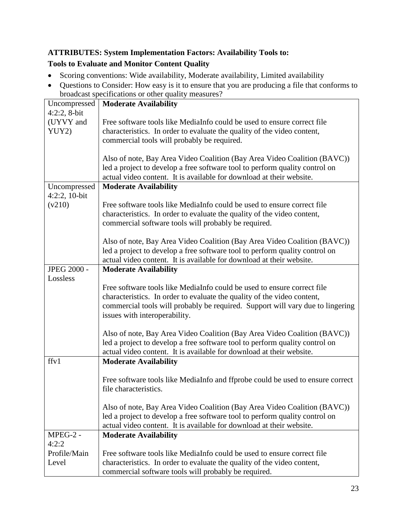#### <span id="page-22-1"></span><span id="page-22-0"></span>**ATTRIBUTES: System Implementation Factors: Availability Tools to: Tools to Evaluate and Monitor Content Quality**

- Scoring conventions: Wide availability, Moderate availability, Limited availability
- Questions to Consider: How easy is it to ensure that you are producing a file that conforms to broadcast specifications or other quality measures?

| Uncompressed                   | <b>Moderate Availability</b>                                                   |
|--------------------------------|--------------------------------------------------------------------------------|
| $4:2:2, 8-bit$                 |                                                                                |
| (UYVY and                      | Free software tools like MediaInfo could be used to ensure correct file        |
| YUY2)                          | characteristics. In order to evaluate the quality of the video content,        |
|                                | commercial tools will probably be required.                                    |
|                                |                                                                                |
|                                | Also of note, Bay Area Video Coalition (Bay Area Video Coalition (BAVC))       |
|                                | led a project to develop a free software tool to perform quality control on    |
|                                | actual video content. It is available for download at their website.           |
| Uncompressed<br>$4:2:2,10-bit$ | <b>Moderate Availability</b>                                                   |
|                                | Free software tools like MediaInfo could be used to ensure correct file        |
| (v210)                         | characteristics. In order to evaluate the quality of the video content,        |
|                                |                                                                                |
|                                | commercial software tools will probably be required.                           |
|                                | Also of note, Bay Area Video Coalition (Bay Area Video Coalition (BAVC))       |
|                                | led a project to develop a free software tool to perform quality control on    |
|                                | actual video content. It is available for download at their website.           |
| <b>JPEG 2000 -</b>             | <b>Moderate Availability</b>                                                   |
| Lossless                       |                                                                                |
|                                | Free software tools like MediaInfo could be used to ensure correct file        |
|                                | characteristics. In order to evaluate the quality of the video content,        |
|                                | commercial tools will probably be required. Support will vary due to lingering |
|                                | issues with interoperability.                                                  |
|                                |                                                                                |
|                                | Also of note, Bay Area Video Coalition (Bay Area Video Coalition (BAVC))       |
|                                | led a project to develop a free software tool to perform quality control on    |
|                                | actual video content. It is available for download at their website.           |
| ffy1                           | <b>Moderate Availability</b>                                                   |
|                                |                                                                                |
|                                | Free software tools like MediaInfo and ffprobe could be used to ensure correct |
|                                | file characteristics.                                                          |
|                                | Also of note, Bay Area Video Coalition (Bay Area Video Coalition (BAVC))       |
|                                | led a project to develop a free software tool to perform quality control on    |
|                                | actual video content. It is available for download at their website.           |
| MPEG-2 -                       | <b>Moderate Availability</b>                                                   |
| 4:2:2                          |                                                                                |
| Profile/Main                   | Free software tools like MediaInfo could be used to ensure correct file        |
| Level                          | characteristics. In order to evaluate the quality of the video content,        |
|                                | commercial software tools will probably be required.                           |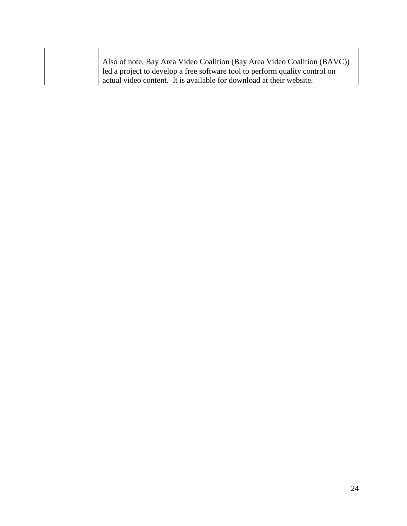|  | Also of note, Bay Area Video Coalition (Bay Area Video Coalition (BAVC))    |
|--|-----------------------------------------------------------------------------|
|  | led a project to develop a free software tool to perform quality control on |
|  | actual video content. It is available for download at their website.        |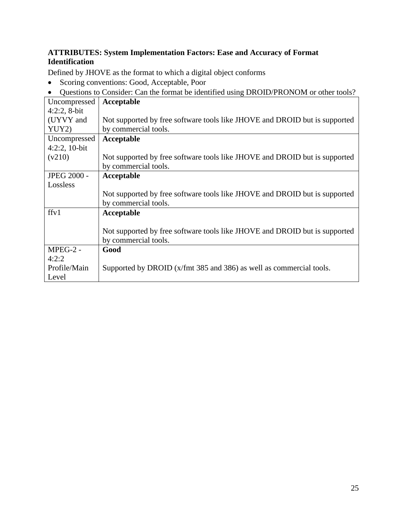#### <span id="page-24-0"></span>**ATTRIBUTES: System Implementation Factors: Ease and Accuracy of Format Identification**

Defined by JHOVE as the format to which a digital object conforms

- Scoring conventions: Good, Acceptable, Poor
- Questions to Consider: Can the format be identified using DROID/PRONOM or other tools?

| Uncompressed       | Acceptable                                                                 |
|--------------------|----------------------------------------------------------------------------|
| $4:2:2$ , 8-bit    |                                                                            |
| (UYVY and          | Not supported by free software tools like JHOVE and DROID but is supported |
| YUY2)              | by commercial tools.                                                       |
| Uncompressed       | Acceptable                                                                 |
| $4:2:2,10-bit$     |                                                                            |
| (v210)             | Not supported by free software tools like JHOVE and DROID but is supported |
|                    | by commercial tools.                                                       |
| <b>JPEG 2000 -</b> | Acceptable                                                                 |
| Lossless           |                                                                            |
|                    | Not supported by free software tools like JHOVE and DROID but is supported |
|                    | by commercial tools.                                                       |
| ffv1               | Acceptable                                                                 |
|                    |                                                                            |
|                    | Not supported by free software tools like JHOVE and DROID but is supported |
|                    | by commercial tools.                                                       |
| MPEG-2 -           | Good                                                                       |
| 4:2:2              |                                                                            |
| Profile/Main       | Supported by DROID (x/fmt 385 and 386) as well as commercial tools.        |
| Level              |                                                                            |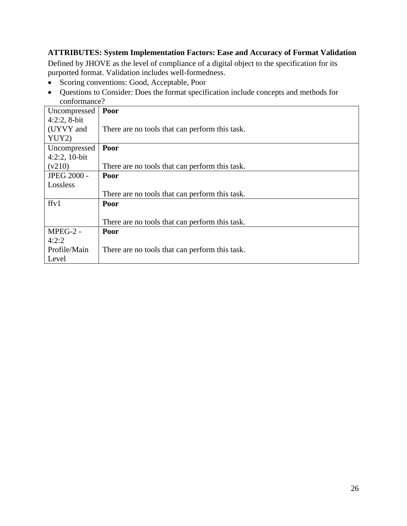#### <span id="page-25-0"></span>**ATTRIBUTES: System Implementation Factors: Ease and Accuracy of Format Validation**

Defined by JHOVE as the level of compliance of a digital object to the specification for its purported format. Validation includes well-formedness.

- Scoring conventions: Good, Acceptable, Poor
- Questions to Consider: Does the format specification include concepts and methods for conformance?

| Uncompressed       | Poor                                           |
|--------------------|------------------------------------------------|
| $4:2:2$ , 8-bit    |                                                |
| (UYVY and          | There are no tools that can perform this task. |
| YUY2)              |                                                |
| Uncompressed       | Poor                                           |
| $4:2:2,10-bit$     |                                                |
| (v210)             | There are no tools that can perform this task. |
| <b>JPEG 2000 -</b> | Poor                                           |
| Lossless           |                                                |
|                    | There are no tools that can perform this task. |
| ffv1               | Poor                                           |
|                    |                                                |
|                    | There are no tools that can perform this task. |
| MPEG-2 -           | Poor                                           |
| 4:2:2              |                                                |
| Profile/Main       | There are no tools that can perform this task. |
| Level              |                                                |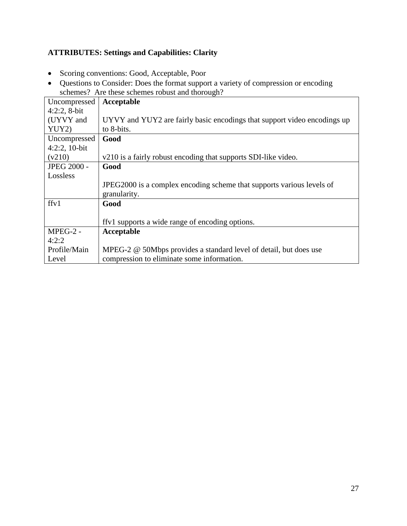# <span id="page-26-0"></span>**ATTRIBUTES: Settings and Capabilities: Clarity**

- Scoring conventions: Good, Acceptable, Poor
- Questions to Consider: Does the format support a variety of compression or encoding schemes? Are these schemes robust and thorough?

| Uncompressed       | Acceptable                                                               |
|--------------------|--------------------------------------------------------------------------|
| $4:2:2, 8-bit$     |                                                                          |
| (UYVY and          | UYVY and YUY2 are fairly basic encodings that support video encodings up |
| YUY2)              | to 8-bits.                                                               |
| Uncompressed       | Good                                                                     |
| $4:2:2,10-bit$     |                                                                          |
| (v210)             | v210 is a fairly robust encoding that supports SDI-like video.           |
| <b>JPEG 2000 -</b> | Good                                                                     |
| Lossless           |                                                                          |
|                    | JPEG2000 is a complex encoding scheme that supports various levels of    |
|                    | granularity.                                                             |
| ffv1               | Good                                                                     |
|                    |                                                                          |
|                    | ffyl supports a wide range of encoding options.                          |
| MPEG-2 -           | Acceptable                                                               |
| 4:2:2              |                                                                          |
| Profile/Main       | MPEG-2 @ 50Mbps provides a standard level of detail, but does use        |
| Level              | compression to eliminate some information.                               |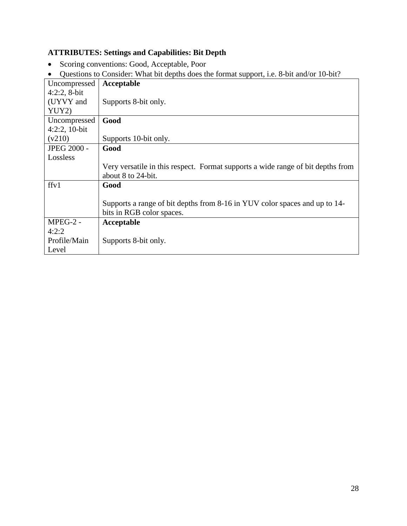#### <span id="page-27-0"></span>**ATTRIBUTES: Settings and Capabilities: Bit Depth**

- Scoring conventions: Good, Acceptable, Poor
- Questions to Consider: What bit depths does the format support, i.e. 8-bit and/or 10-bit?

| Uncompressed       | Acceptable                                                                      |
|--------------------|---------------------------------------------------------------------------------|
| $4:2:2, 8-bit$     |                                                                                 |
| (UYVY and          | Supports 8-bit only.                                                            |
| YUY2)              |                                                                                 |
| Uncompressed       | Good                                                                            |
| $4:2:2,10-bit$     |                                                                                 |
| (v210)             | Supports 10-bit only.                                                           |
| <b>JPEG 2000 -</b> | Good                                                                            |
| Lossless           |                                                                                 |
|                    | Very versatile in this respect. Format supports a wide range of bit depths from |
|                    | about 8 to 24-bit.                                                              |
| ffv1               | Good                                                                            |
|                    |                                                                                 |
|                    | Supports a range of bit depths from 8-16 in YUV color spaces and up to 14-      |
|                    | bits in RGB color spaces.                                                       |
| $MPEG-2$ -         | Acceptable                                                                      |
| 4:2:2              |                                                                                 |
| Profile/Main       | Supports 8-bit only.                                                            |
| Level              |                                                                                 |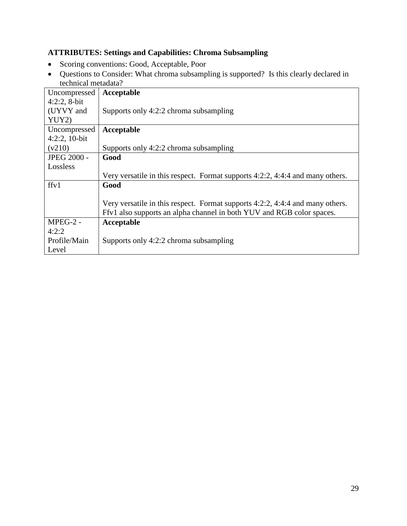#### <span id="page-28-0"></span>**ATTRIBUTES: Settings and Capabilities: Chroma Subsampling**

- Scoring conventions: Good, Acceptable, Poor
- Questions to Consider: What chroma subsampling is supported? Is this clearly declared in technical metadata?

| Uncompressed       | Acceptable                                                                      |
|--------------------|---------------------------------------------------------------------------------|
| $4:2:2$ , 8-bit    |                                                                                 |
| (UYVY and          | Supports only 4:2:2 chroma subsampling                                          |
| YUY2)              |                                                                                 |
| Uncompressed       | Acceptable                                                                      |
| $4:2:2,10-bit$     |                                                                                 |
| (v210)             | Supports only 4:2:2 chroma subsampling                                          |
| <b>JPEG 2000 -</b> | Good                                                                            |
| Lossless           |                                                                                 |
|                    | Very versatile in this respect. Format supports $4:2:2, 4:4:4$ and many others. |
| ffv1               | Good                                                                            |
|                    |                                                                                 |
|                    | Very versatile in this respect. Format supports 4:2:2, 4:4:4 and many others.   |
|                    | Ffv1 also supports an alpha channel in both YUV and RGB color spaces.           |
| $MPEG-2$ -         | Acceptable                                                                      |
| 4:2:2              |                                                                                 |
| Profile/Main       | Supports only 4:2:2 chroma subsampling                                          |
| Level              |                                                                                 |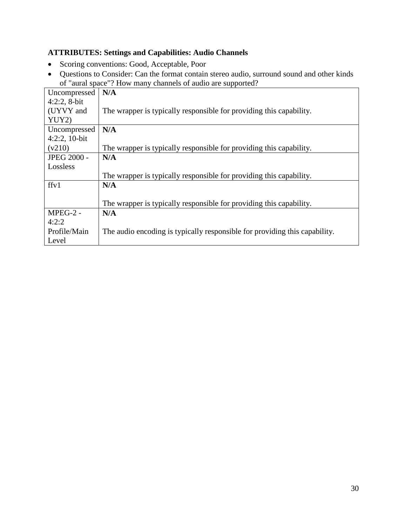#### <span id="page-29-0"></span>**ATTRIBUTES: Settings and Capabilities: Audio Channels**

- Scoring conventions: Good, Acceptable, Poor
- Questions to Consider: Can the format contain stereo audio, surround sound and other kinds of "aural space"? How many channels of audio are supported?

| Uncompressed    | N/A                                                                        |
|-----------------|----------------------------------------------------------------------------|
| $4:2:2$ , 8-bit |                                                                            |
|                 |                                                                            |
| (UYVY and       | The wrapper is typically responsible for providing this capability.        |
| YUY2)           |                                                                            |
| Uncompressed    | N/A                                                                        |
| $4:2:2,10-bit$  |                                                                            |
| (v210)          | The wrapper is typically responsible for providing this capability.        |
| JPEG 2000 -     | N/A                                                                        |
| Lossless        |                                                                            |
|                 | The wrapper is typically responsible for providing this capability.        |
| ffv1            | N/A                                                                        |
|                 |                                                                            |
|                 | The wrapper is typically responsible for providing this capability.        |
| MPEG-2 -        | N/A                                                                        |
| 4:2:2           |                                                                            |
| Profile/Main    | The audio encoding is typically responsible for providing this capability. |
| Level           |                                                                            |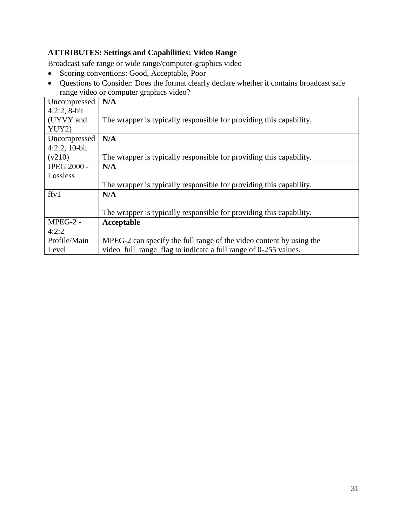#### <span id="page-30-0"></span>**ATTRIBUTES: Settings and Capabilities: Video Range**

Broadcast safe range or wide range/computer-graphics video

- Scoring conventions: Good, Acceptable, Poor
- Questions to Consider: Does the format clearly declare whether it contains broadcast safe range video or computer graphics video?

| Uncompressed       | N/A                                                                 |
|--------------------|---------------------------------------------------------------------|
| $4:2:2$ , 8-bit    |                                                                     |
| (UYVY and          | The wrapper is typically responsible for providing this capability. |
| YUY2)              |                                                                     |
| Uncompressed       | N/A                                                                 |
| $4:2:2,10-bit$     |                                                                     |
| (v210)             | The wrapper is typically responsible for providing this capability. |
| <b>JPEG 2000 -</b> | N/A                                                                 |
| Lossless           |                                                                     |
|                    | The wrapper is typically responsible for providing this capability. |
| ffv1               | N/A                                                                 |
|                    |                                                                     |
|                    | The wrapper is typically responsible for providing this capability. |
| MPEG-2 -           | Acceptable                                                          |
| 4:2:2              |                                                                     |
| Profile/Main       | MPEG-2 can specify the full range of the video content by using the |
| Level              | video_full_range_flag to indicate a full range of 0-255 values.     |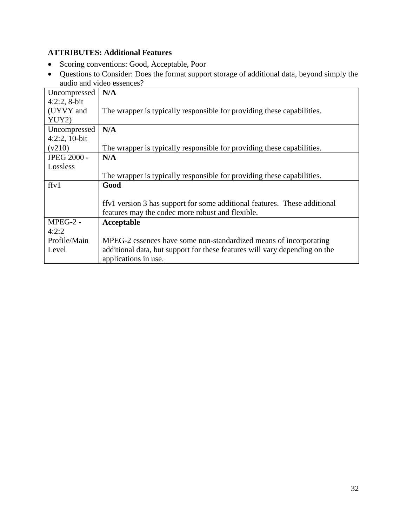#### <span id="page-31-0"></span>**ATTRIBUTES: Additional Features**

- Scoring conventions: Good, Acceptable, Poor
- Questions to Consider: Does the format support storage of additional data, beyond simply the audio and video essences?

| Uncompressed       | N/A                                                                        |
|--------------------|----------------------------------------------------------------------------|
| $4:2:2, 8-bit$     |                                                                            |
| (UYVY and          | The wrapper is typically responsible for providing these capabilities.     |
| YUY2)              |                                                                            |
| Uncompressed       | N/A                                                                        |
| 4:2:2, 10-bit      |                                                                            |
| (v210)             | The wrapper is typically responsible for providing these capabilities.     |
| <b>JPEG 2000 -</b> | N/A                                                                        |
| Lossless           |                                                                            |
|                    | The wrapper is typically responsible for providing these capabilities.     |
| ffv1               | Good                                                                       |
|                    |                                                                            |
|                    | ffv1 version 3 has support for some additional features. These additional  |
|                    | features may the codec more robust and flexible.                           |
| $MPEG-2$ -         | Acceptable                                                                 |
| 4:2:2              |                                                                            |
| Profile/Main       | MPEG-2 essences have some non-standardized means of incorporating          |
| Level              | additional data, but support for these features will vary depending on the |
|                    | applications in use.                                                       |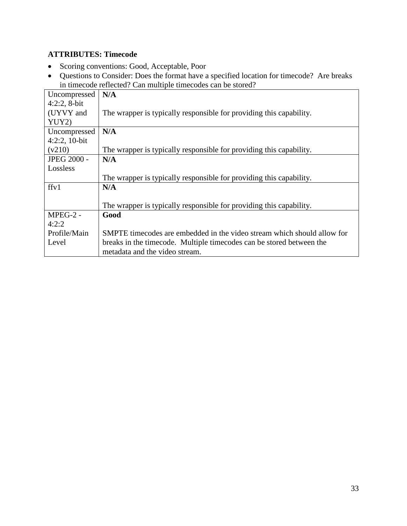#### <span id="page-32-0"></span>**ATTRIBUTES: Timecode**

- Scoring conventions: Good, Acceptable, Poor
- Questions to Consider: Does the format have a specified location for timecode? Are breaks in timecode reflected? Can multiple timecodes can be stored?

| Uncompressed       | N/A                                                                     |
|--------------------|-------------------------------------------------------------------------|
| $4:2:2, 8-bit$     |                                                                         |
| (UYVY and          | The wrapper is typically responsible for providing this capability.     |
| YUY2)              |                                                                         |
| Uncompressed       | N/A                                                                     |
| $4:2:2,10-bit$     |                                                                         |
| (v210)             | The wrapper is typically responsible for providing this capability.     |
| <b>JPEG 2000 -</b> | N/A                                                                     |
| Lossless           |                                                                         |
|                    | The wrapper is typically responsible for providing this capability.     |
| ffv1               | N/A                                                                     |
|                    |                                                                         |
|                    | The wrapper is typically responsible for providing this capability.     |
| $MPEG-2$ -         | Good                                                                    |
| 4:2:2              |                                                                         |
| Profile/Main       | SMPTE timecodes are embedded in the video stream which should allow for |
| Level              | breaks in the timecode. Multiple timecodes can be stored between the    |
|                    | metadata and the video stream.                                          |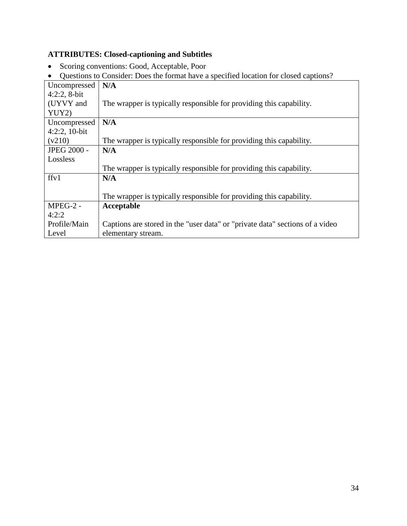#### <span id="page-33-0"></span>**ATTRIBUTES: Closed-captioning and Subtitles**

- Scoring conventions: Good, Acceptable, Poor
- Questions to Consider: Does the format have a specified location for closed captions?

| Uncompressed       | N/A                                                                          |
|--------------------|------------------------------------------------------------------------------|
| $4:2:2, 8-bit$     |                                                                              |
| (UYVY and          | The wrapper is typically responsible for providing this capability.          |
| YUY2)              |                                                                              |
| Uncompressed       | N/A                                                                          |
| $4:2:2,10-bit$     |                                                                              |
| (v210)             | The wrapper is typically responsible for providing this capability.          |
| <b>JPEG 2000 -</b> | N/A                                                                          |
| Lossless           |                                                                              |
|                    | The wrapper is typically responsible for providing this capability.          |
| ffv1               | N/A                                                                          |
|                    |                                                                              |
|                    | The wrapper is typically responsible for providing this capability.          |
| MPEG-2 -           | Acceptable                                                                   |
| 4:2:2              |                                                                              |
| Profile/Main       | Captions are stored in the "user data" or "private data" sections of a video |
| Level              | elementary stream.                                                           |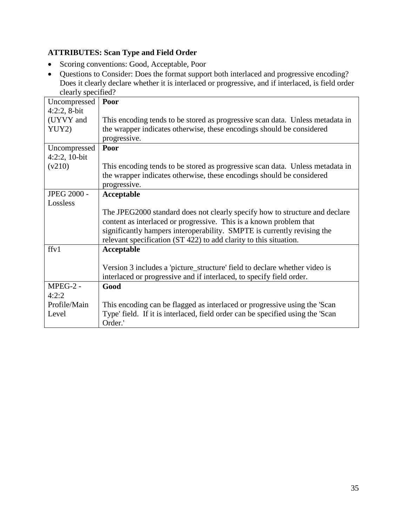#### <span id="page-34-0"></span>**ATTRIBUTES: Scan Type and Field Order**

- Scoring conventions: Good, Acceptable, Poor
- Questions to Consider: Does the format support both interlaced and progressive encoding? Does it clearly declare whether it is interlaced or progressive, and if interlaced, is field order clearly specified?

| $_{\nu}$ . The state of $\mu$ is $\mu$ is the state of $\mu$<br>Uncompressed | Poor                                                                                                                                                                   |
|------------------------------------------------------------------------------|------------------------------------------------------------------------------------------------------------------------------------------------------------------------|
| $4:2:2, 8-bit$                                                               |                                                                                                                                                                        |
| (UYVY and                                                                    | This encoding tends to be stored as progressive scan data. Unless metadata in                                                                                          |
| YUY2)                                                                        | the wrapper indicates otherwise, these encodings should be considered                                                                                                  |
|                                                                              | progressive.                                                                                                                                                           |
| Uncompressed                                                                 | Poor                                                                                                                                                                   |
| $4:2:2,10-bit$                                                               |                                                                                                                                                                        |
| (v210)                                                                       | This encoding tends to be stored as progressive scan data. Unless metadata in<br>the wrapper indicates otherwise, these encodings should be considered<br>progressive. |
| JPEG 2000 -                                                                  | Acceptable                                                                                                                                                             |
| Lossless                                                                     |                                                                                                                                                                        |
|                                                                              | The JPEG2000 standard does not clearly specify how to structure and declare                                                                                            |
|                                                                              | content as interlaced or progressive. This is a known problem that                                                                                                     |
|                                                                              | significantly hampers interoperability. SMPTE is currently revising the<br>relevant specification (ST 422) to add clarity to this situation.                           |
| ffv1                                                                         | Acceptable                                                                                                                                                             |
|                                                                              |                                                                                                                                                                        |
|                                                                              | Version 3 includes a 'picture_structure' field to declare whether video is                                                                                             |
|                                                                              | interlaced or progressive and if interlaced, to specify field order.                                                                                                   |
| MPEG-2 -                                                                     | Good                                                                                                                                                                   |
| 4:2:2                                                                        |                                                                                                                                                                        |
| Profile/Main                                                                 | This encoding can be flagged as interlaced or progressive using the 'Scan                                                                                              |
| Level                                                                        | Type' field. If it is interlaced, field order can be specified using the 'Scan                                                                                         |
|                                                                              | Order.'                                                                                                                                                                |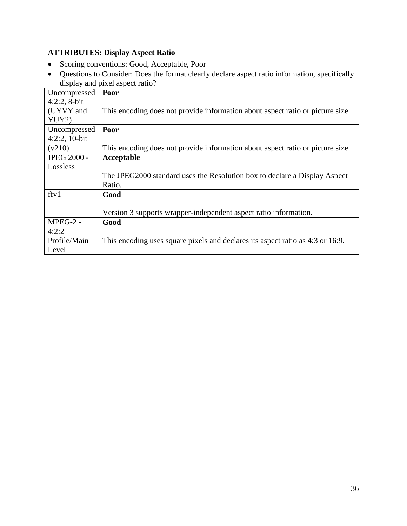# <span id="page-35-0"></span>**ATTRIBUTES: Display Aspect Ratio**

- Scoring conventions: Good, Acceptable, Poor
- Questions to Consider: Does the format clearly declare aspect ratio information, specifically display and pixel aspect ratio?

| Uncompressed       | Poor                                                                           |
|--------------------|--------------------------------------------------------------------------------|
| $4:2:2$ , 8-bit    |                                                                                |
| (UYVY and          | This encoding does not provide information about aspect ratio or picture size. |
| YUY2)              |                                                                                |
| Uncompressed       | Poor                                                                           |
| $4:2:2,10-bit$     |                                                                                |
| (v210)             | This encoding does not provide information about aspect ratio or picture size. |
| <b>JPEG 2000 -</b> | Acceptable                                                                     |
| Lossless           |                                                                                |
|                    | The JPEG2000 standard uses the Resolution box to declare a Display Aspect      |
|                    | Ratio.                                                                         |
| ffv1               | Good                                                                           |
|                    |                                                                                |
|                    | Version 3 supports wrapper-independent aspect ratio information.               |
| MPEG-2 -           | Good                                                                           |
| 4:2:2              |                                                                                |
| Profile/Main       | This encoding uses square pixels and declares its aspect ratio as 4:3 or 16:9. |
| Level              |                                                                                |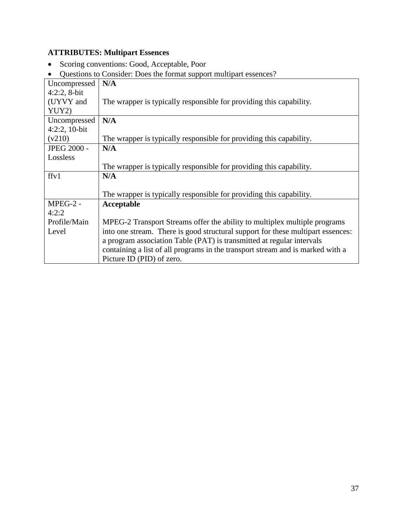# <span id="page-36-0"></span>**ATTRIBUTES: Multipart Essences**

- Scoring conventions: Good, Acceptable, Poor
- Questions to Consider: Does the format support multipart essences?

| Uncompressed       | $\epsilon$ assumed to complete the second complete matrix $\epsilon$<br>N/A     |
|--------------------|---------------------------------------------------------------------------------|
| $4:2:2$ , 8-bit    |                                                                                 |
| (UYVY and          | The wrapper is typically responsible for providing this capability.             |
| YUY2)              |                                                                                 |
| Uncompressed       | N/A                                                                             |
| $4:2:2,10-bit$     |                                                                                 |
| (v210)             | The wrapper is typically responsible for providing this capability.             |
| <b>JPEG 2000 -</b> | N/A                                                                             |
| Lossless           |                                                                                 |
|                    | The wrapper is typically responsible for providing this capability.             |
| ffv1               | N/A                                                                             |
|                    |                                                                                 |
|                    | The wrapper is typically responsible for providing this capability.             |
| MPEG-2 -           | Acceptable                                                                      |
| 4:2:2              |                                                                                 |
| Profile/Main       | MPEG-2 Transport Streams offer the ability to multiplex multiple programs       |
| Level              | into one stream. There is good structural support for these multipart essences: |
|                    | a program association Table (PAT) is transmitted at regular intervals           |
|                    | containing a list of all programs in the transport stream and is marked with a  |
|                    | Picture ID (PID) of zero.                                                       |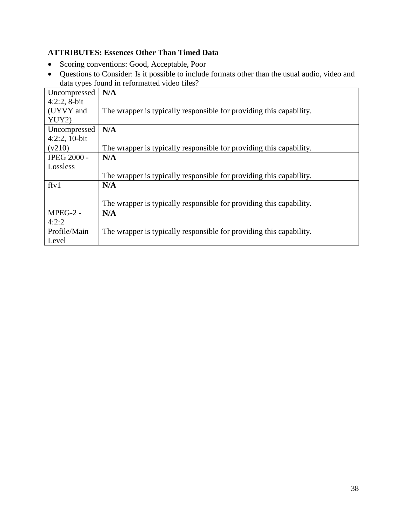### <span id="page-37-0"></span>**ATTRIBUTES: Essences Other Than Timed Data**

- Scoring conventions: Good, Acceptable, Poor
- Questions to Consider: Is it possible to include formats other than the usual audio, video and data types found in reformatted video files?

| Uncompressed       | N/A                                                                 |
|--------------------|---------------------------------------------------------------------|
| $4:2:2$ , 8-bit    |                                                                     |
| (UYVY and          | The wrapper is typically responsible for providing this capability. |
| YUY2)              |                                                                     |
| Uncompressed       | N/A                                                                 |
| $4:2:2,10-bit$     |                                                                     |
| (v210)             | The wrapper is typically responsible for providing this capability. |
| <b>JPEG 2000 -</b> | N/A                                                                 |
| Lossless           |                                                                     |
|                    | The wrapper is typically responsible for providing this capability. |
| ffv1               | N/A                                                                 |
|                    |                                                                     |
|                    | The wrapper is typically responsible for providing this capability. |
| MPEG-2 -           | N/A                                                                 |
| 4:2:2              |                                                                     |
| Profile/Main       | The wrapper is typically responsible for providing this capability. |
| Level              |                                                                     |